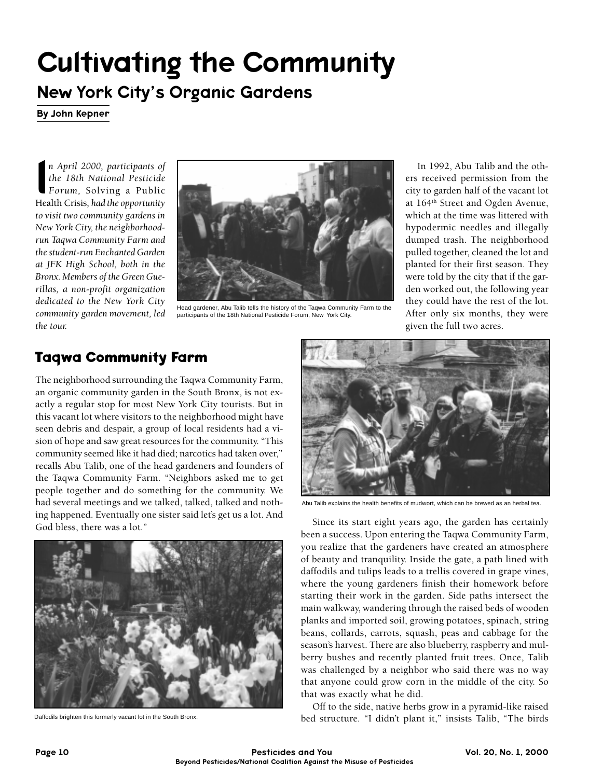# Cultivating the Community

## New York City's Organic Gardens

By John Kepner

n April 2000, participants of<br>the 18th National Pesticide<br>Forum, Solving a Public<br>Health Crisis, had the opportunity *n April 2000, participants of the 18th National Pesticide Forum,* Solving a Public *to visit two community gardens in New York City, the neighborhoodrun Taqwa Community Farm and the student-run Enchanted Garden at JFK High School, both in the Bronx. Members of the Green Guerillas, a non-profit organization dedicated to the New York City community garden movement, led the tour.*



Head gardener, Abu Talib tells the history of the Taqwa Community Farm to the participants of the 18th National Pesticide Forum, New York City.

In 1992, Abu Talib and the others received permission from the city to garden half of the vacant lot at 164th Street and Ogden Avenue, which at the time was littered with hypodermic needles and illegally dumped trash. The neighborhood pulled together, cleaned the lot and planted for their first season. They were told by the city that if the garden worked out, the following year they could have the rest of the lot. After only six months, they were given the full two acres.

#### **Taqwa Community Farm**

The neighborhood surrounding the Taqwa Community Farm, an organic community garden in the South Bronx, is not exactly a regular stop for most New York City tourists. But in this vacant lot where visitors to the neighborhood might have seen debris and despair, a group of local residents had a vision of hope and saw great resources for the community. "This community seemed like it had died; narcotics had taken over," recalls Abu Talib, one of the head gardeners and founders of the Taqwa Community Farm. "Neighbors asked me to get people together and do something for the community. We had several meetings and we talked, talked, talked and nothing happened. Eventually one sister said let's get us a lot. And God bless, there was a lot."



Daffodils brighten this formerly vacant lot in the South Bronx.



Abu Talib explains the health benefits of mudwort, which can be brewed as an herbal tea.

Since its start eight years ago, the garden has certainly been a success. Upon entering the Taqwa Community Farm, you realize that the gardeners have created an atmosphere of beauty and tranquility. Inside the gate, a path lined with daffodils and tulips leads to a trellis covered in grape vines, where the young gardeners finish their homework before starting their work in the garden. Side paths intersect the main walkway, wandering through the raised beds of wooden planks and imported soil, growing potatoes, spinach, string beans, collards, carrots, squash, peas and cabbage for the season's harvest. There are also blueberry, raspberry and mulberry bushes and recently planted fruit trees. Once, Talib was challenged by a neighbor who said there was no way that anyone could grow corn in the middle of the city. So that was exactly what he did.

Off to the side, native herbs grow in a pyramid-like raised bed structure. "I didn't plant it," insists Talib, "The birds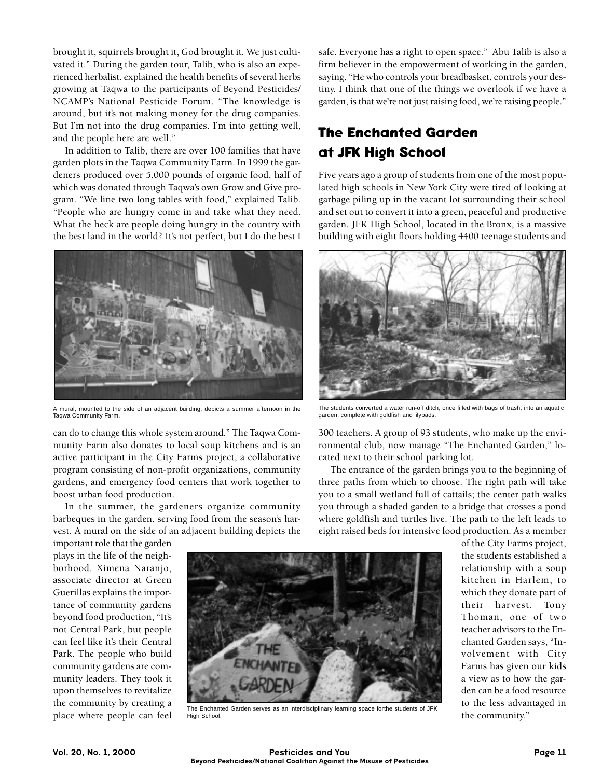brought it, squirrels brought it, God brought it. We just cultivated it." During the garden tour, Talib, who is also an experienced herbalist, explained the health benefits of several herbs growing at Taqwa to the participants of Beyond Pesticides/ NCAMP's National Pesticide Forum. "The knowledge is around, but it's not making money for the drug companies. But I'm not into the drug companies. I'm into getting well, and the people here are well."

In addition to Talib, there are over 100 families that have garden plots in the Taqwa Community Farm. In 1999 the gardeners produced over 5,000 pounds of organic food, half of which was donated through Taqwa's own Grow and Give program. "We line two long tables with food," explained Talib. "People who are hungry come in and take what they need. What the heck are people doing hungry in the country with the best land in the world? It's not perfect, but I do the best I



A mural, mounted to the side of an adjacent building, depicts a summer afternoon in the Taqwa Community Farm.

can do to change this whole system around." The Taqwa Community Farm also donates to local soup kitchens and is an active participant in the City Farms project, a collaborative program consisting of non-profit organizations, community gardens, and emergency food centers that work together to boost urban food production.

In the summer, the gardeners organize community barbeques in the garden, serving food from the season's harvest. A mural on the side of an adjacent building depicts the

safe. Everyone has a right to open space." Abu Talib is also a firm believer in the empowerment of working in the garden, saying, "He who controls your breadbasket, controls your destiny. I think that one of the things we overlook if we have a garden, is that we're not just raising food, we're raising people."

## **The Enchanted Garden at JFK High School**

Five years ago a group of students from one of the most populated high schools in New York City were tired of looking at garbage piling up in the vacant lot surrounding their school and set out to convert it into a green, peaceful and productive garden. JFK High School, located in the Bronx, is a massive building with eight floors holding 4400 teenage students and



The students converted a water run-off ditch, once filled with bags of trash, into an aquatic garden, complete with goldfish and lilypads.

300 teachers. A group of 93 students, who make up the environmental club, now manage "The Enchanted Garden," located next to their school parking lot.

The entrance of the garden brings you to the beginning of three paths from which to choose. The right path will take you to a small wetland full of cattails; the center path walks you through a shaded garden to a bridge that crosses a pond where goldfish and turtles live. The path to the left leads to eight raised beds for intensive food production. As a member

important role that the garden plays in the life of the neighborhood. Ximena Naranjo, associate director at Green Guerillas explains the importance of community gardens beyond food production, "It's not Central Park, but people can feel like it's their Central Park. The people who build community gardens are community leaders. They took it upon themselves to revitalize the community by creating a place where people can feel



The Enchanted Garden serves as an interdisciplinary learning space forthe students of JFK High School.

of the City Farms project, the students established a relationship with a soup kitchen in Harlem, to which they donate part of their harvest. Tony Thoman, one of two teacher advisors to the Enchanted Garden says, "Involvement with City Farms has given our kids a view as to how the garden can be a food resource to the less advantaged in the community."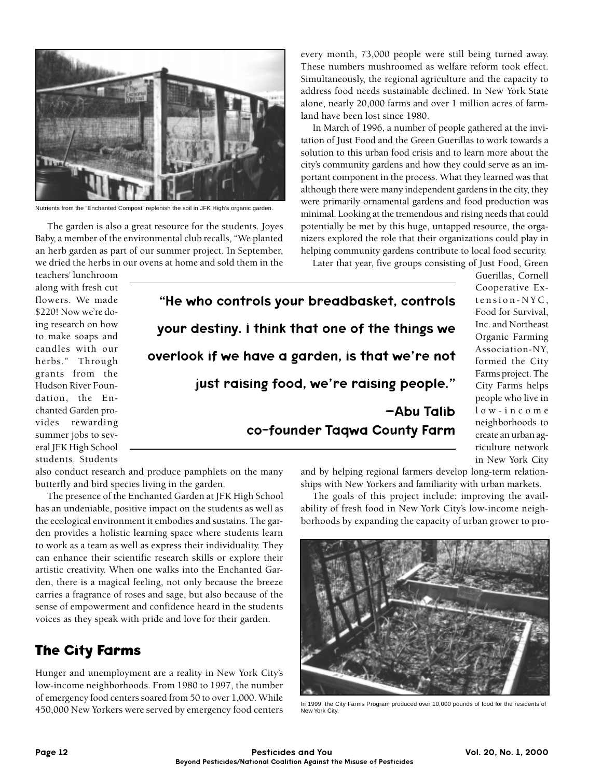

Nutrients from the "Enchanted Compost" replenish the soil in JFK High's organic garden.

The garden is also a great resource for the students. Joyes Baby, a member of the environmental club recalls, "We planted an herb garden as part of our summer project. In September, we dried the herbs in our ovens at home and sold them in the

every month, 73,000 people were still being turned away. These numbers mushroomed as welfare reform took effect. Simultaneously, the regional agriculture and the capacity to address food needs sustainable declined. In New York State alone, nearly 20,000 farms and over 1 million acres of farmland have been lost since 1980.

In March of 1996, a number of people gathered at the invitation of Just Food and the Green Guerillas to work towards a solution to this urban food crisis and to learn more about the city's community gardens and how they could serve as an important component in the process. What they learned was that although there were many independent gardens in the city, they were primarily ornamental gardens and food production was minimal. Looking at the tremendous and rising needs that could potentially be met by this huge, untapped resource, the organizers explored the role that their organizations could play in helping community gardens contribute to local food security.

Later that year, five groups consisting of Just Food, Green

teachers' lunchroom along with fresh cut flowers. We made \$220! Now we're doing research on how to make soaps and candles with our herbs." Through grants from the Hudson River Foundation, the Enchanted Garden provides rewarding summer jobs to several JFK High School students. Students

"He who controls your breadbasket, controls your destiny. I think that one of the things we overlook if we have a garden, is that we're not just raising food, we're raising people." –Abu Talib co-founder Taqwa County Farm

Guerillas, Cornell Cooperative Extension-NYC, Food for Survival, Inc. and Northeast Organic Farming Association-NY, formed the City Farms project. The City Farms helps people who live in low-income neighborhoods to create an urban agriculture network in New York City

also conduct research and produce pamphlets on the many butterfly and bird species living in the garden.

The presence of the Enchanted Garden at JFK High School has an undeniable, positive impact on the students as well as the ecological environment it embodies and sustains. The garden provides a holistic learning space where students learn to work as a team as well as express their individuality. They can enhance their scientific research skills or explore their artistic creativity. When one walks into the Enchanted Garden, there is a magical feeling, not only because the breeze carries a fragrance of roses and sage, but also because of the sense of empowerment and confidence heard in the students voices as they speak with pride and love for their garden.

#### **The City Farms**

Hunger and unemployment are a reality in New York City's low-income neighborhoods. From 1980 to 1997, the number of emergency food centers soared from 50 to over 1,000. While 450,000 New Yorkers were served by emergency food centers and by helping regional farmers develop long-term relationships with New Yorkers and familiarity with urban markets.

The goals of this project include: improving the availability of fresh food in New York City's low-income neighborhoods by expanding the capacity of urban grower to pro-



In 1999, the City Farms Program produced over 10,000 pounds of food for the residents of New York City.